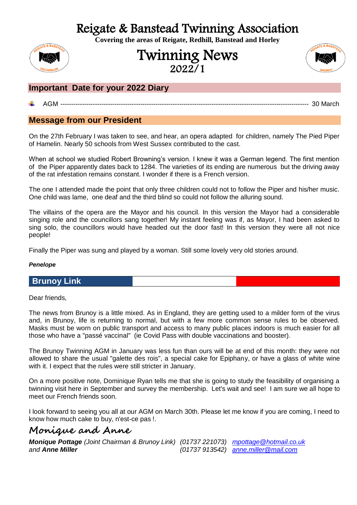Reigate & Banstead Twinning Association **Covering the areas of Reigate, Redhill, Banstead and Horley**

# Twinning News 2022/1



# **Important Date for your 2022 Diary**

# AGM ------------------------------------------------------------------------------------------------------------------- 30 March

# **Message from our President**

On the 27th February I was taken to see, and hear, an opera adapted for children, namely The Pied Piper of Hamelin. Nearly 50 schools from West Sussex contributed to the cast.

When at school we studied Robert Browning's version. I knew it was a German legend. The first mention of the Piper apparently dates back to 1284. The varieties of its ending are numerous but the driving away of the rat infestation remains constant. I wonder if there is a French version.

The one I attended made the point that only three children could not to follow the Piper and his/her music. One child was lame, one deaf and the third blind so could not follow the alluring sound.

The villains of the opera are the Mayor and his council. In this version the Mayor had a considerable singing role and the councillors sang together! My instant feeling was if, as Mayor, I had been asked to sing solo, the councillors would have headed out the door fast! In this version they were all not nice people!

Finally the Piper was sung and played by a woman. Still some lovely very old stories around.

### *Penelope*

# **Brunoy Link**

Dear friends,

The news from Brunoy is a little mixed. As in England, they are getting used to a milder form of the virus and, in Brunoy, life is returning to normal, but with a few more common sense rules to be observed. Masks must be worn on public transport and access to many public places indoors is much easier for all those who have a "passé vaccinal" (ie Covid Pass with double vaccinations and booster).

The Brunoy Twinning AGM in January was less fun than ours will be at end of this month: they were not allowed to share the usual "galette des rois", a special cake for Epiphany, or have a glass of white wine with it. I expect that the rules were still stricter in January.

On a more positive note, Dominique Ryan tells me that she is going to study the feasibility of organising a twinning visit here in September and survey the membership. Let's wait and see! I am sure we all hope to meet our French friends soon.

I look forward to seeing you all at our AGM on March 30th. Please let me know if you are coming, I need to know how much cake to buy, n'est-ce pas !.

# **Monique and Anne**

*Monique Pottage (Joint Chairman & Brunoy Link) (01737 221073) [mpottage@hotmail.co.uk](mailto:mpottage@hotmail.co.uk) and Anne Miller (01737 913542) [anne.miller@mail.com](mailto:anne.miller@mail.com)*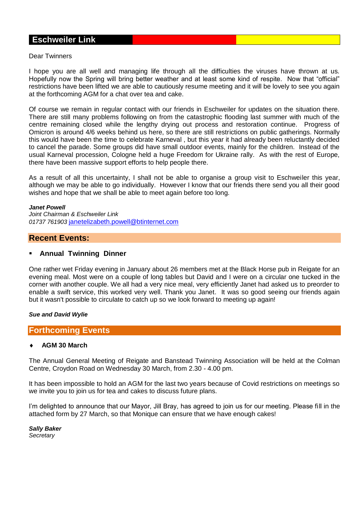# **Eschweiler Link**

#### Dear Twinners

I hope you are all well and managing life through all the difficulties the viruses have thrown at us. Hopefully now the Spring will bring better weather and at least some kind of respite. Now that "official" restrictions have been lifted we are able to cautiously resume meeting and it will be lovely to see you again at the forthcoming AGM for a chat over tea and cake.

Of course we remain in regular contact with our friends in Eschweiler for updates on the situation there. There are still many problems following on from the catastrophic flooding last summer with much of the centre remaining closed while the lengthy drying out process and restoration continue. Progress of Omicron is around 4/6 weeks behind us here, so there are still restrictions on public gatherings. Normally this would have been the time to celebrate Karneval , but this year it had already been reluctantly decided to cancel the parade. Some groups did have small outdoor events, mainly for the children. Instead of the usual Karneval procession, Cologne held a huge Freedom for Ukraine rally. As with the rest of Europe, there have been massive support efforts to help people there.

As a result of all this uncertainty, I shall not be able to organise a group visit to Eschweiler this year, although we may be able to go individually. However I know that our friends there send you all their good wishes and hope that we shall be able to meet again before too long.

#### *Janet Powell*

*Joint Chairman & Eschweiler Link 01737 761903* [janetelizabeth.powell@btinternet.com](mailto:janetelizabeth.powell@btinternet.com)

# **Recent Events:**

### **Annual Twinning Dinner**

One rather wet Friday evening in January about 26 members met at the Black Horse pub in Reigate for an evening meal. Most were on a couple of long tables but David and I were on a circular one tucked in the corner with another couple. We all had a very nice meal, very efficiently Janet had asked us to preorder to enable a swift service, this worked very well. Thank you Janet. It was so good seeing our friends again but it wasn't possible to circulate to catch up so we look forward to meeting up again!

*Sue and David Wylie*

### **Forthcoming Events**

### **AGM 30 March**

The Annual General Meeting of Reigate and Banstead Twinning Association will be held at the Colman Centre, Croydon Road on Wednesday 30 March, from 2.30 - 4.00 pm.

It has been impossible to hold an AGM for the last two years because of Covid restrictions on meetings so we invite you to join us for tea and cakes to discuss future plans.

I'm delighted to announce that our Mayor, Jill Bray, has agreed to join us for our meeting. Please fill in the attached form by 27 March, so that Monique can ensure that we have enough cakes!

*Sally Baker Secretary*